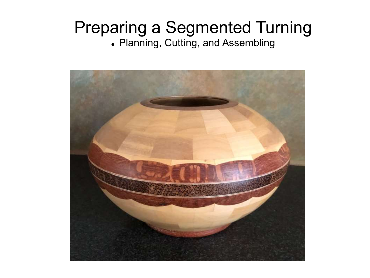# Preparing a Segmented Turning

⚫ Planning, Cutting, and Assembling

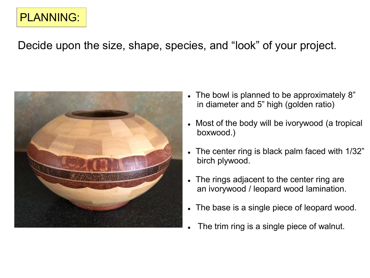# PLANNING:

Decide upon the size, shape, species, and "look" of your project.



- The bowl is planned to be approximately 8" in diameter and 5" high (golden ratio)
- ⚫ Most of the body will be ivorywood (a tropical boxwood.)
- ⚫ The center ring is black palm faced with 1/32" birch plywood.
- The rings adjacent to the center ring are an ivorywood / leopard wood lamination.
- ⚫ The base is a single piece of leopard wood.
- The trim ring is a single piece of walnut.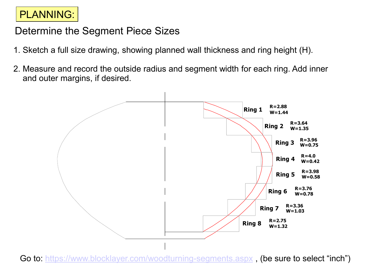## PLANNING:

### Determine the Segment Piece Sizes

- 1. Sketch a full size drawing, showing planned wall thickness and ring height (H).
- 2. Measure and record the outside radius and segment width for each ring. Add inner and outer margins, if desired.



Go to: <https://www.blocklayer.com/woodturning-segments.aspx>, (be sure to select "inch")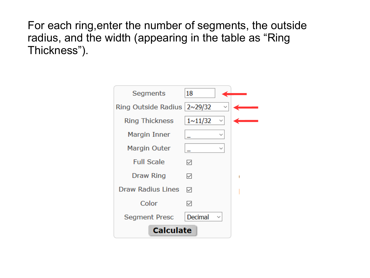For each ring,enter the number of segments, the outside radius, and the width (appearing in the table as "Ring Thickness").

| Segments                      | 18             |              |  |  |  |
|-------------------------------|----------------|--------------|--|--|--|
| Ring Outside Radius   2~29/32 |                |              |  |  |  |
| <b>Ring Thickness</b>         | $1 \sim 11/32$ | ✓            |  |  |  |
| Margin Inner                  |                | $\checkmark$ |  |  |  |
| Margin Outer                  |                | $\checkmark$ |  |  |  |
| <b>Full Scale</b>             | ✓              |              |  |  |  |
| Draw Ring                     | ⋈              |              |  |  |  |
| <b>Draw Radius Lines</b>      | ☑              |              |  |  |  |
| Color                         | ✓              |              |  |  |  |
| <b>Segment Presc</b>          | Decimal        |              |  |  |  |
| <b>Calculate</b>              |                |              |  |  |  |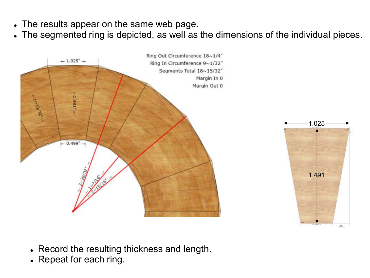- ⚫ The results appear on the same web page.
- ⚫ The segmented ring is depicted, as well as the dimensions of the individual pieces.





- ⚫ Record the resulting thickness and length.
- Repeat for each ring.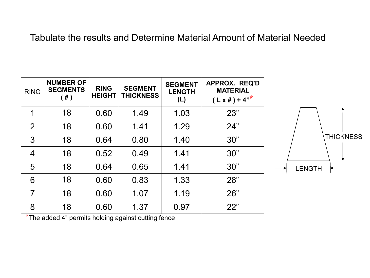#### Tabulate the results and Determine Material Amount of Material Needed

| <b>RING</b> | <b>NUMBER OF</b><br><b>SEGMENTS</b><br>(  # ) | <b>RING</b><br><b>HEIGHT</b> | <b>SEGMENT</b><br><b>THICKNESS</b> | <b>SEGMENT</b><br><b>LENGTH</b><br>(L) | <b>APPROX. REQ'D</b><br><b>MATERIAL</b><br>$(L \times \#) + 4"$ |
|-------------|-----------------------------------------------|------------------------------|------------------------------------|----------------------------------------|-----------------------------------------------------------------|
| 1           | 18                                            | 0.60                         | 1.49                               | 1.03                                   | 23"                                                             |
| 2           | 18                                            | 0.60                         | 1.41                               | 1.29                                   | 24"                                                             |
| 3           | 18                                            | 0.64                         | 0.80                               | 1.40                                   | 30"                                                             |
| 4           | 18                                            | 0.52                         | 0.49                               | 1.41                                   | 30"                                                             |
| 5           | 18                                            | 0.64                         | 0.65                               | 1.41                                   | 30"                                                             |
| 6           | 18                                            | 0.60                         | 0.83                               | 1.33                                   | 28"                                                             |
| 7           | 18                                            | 0.60                         | 1.07                               | 1.19                                   | 26"                                                             |
| 8           | 18                                            | 0.60                         | 1.37                               | 0.97                                   | 22"                                                             |



\*The added 4" permits holding against cutting fence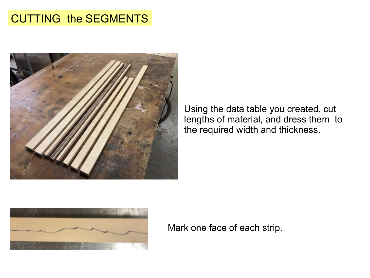# CUTTING the SEGMENTS



Using the data table you created, cut lengths of material, and dress them to the required width and thickness.



Mark one face of each strip.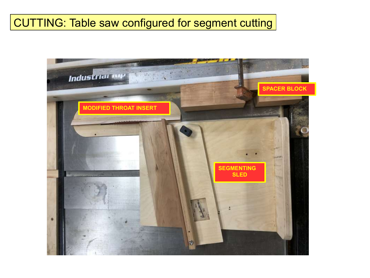# CUTTING: Table saw configured for segment cutting

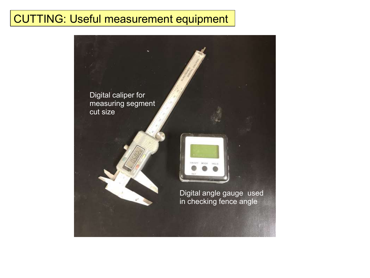## CUTTING: Useful measurement equipment

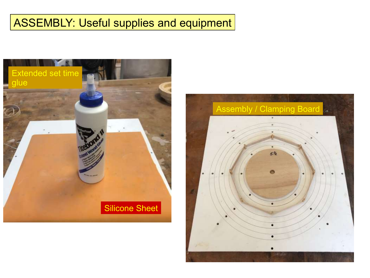# ASSEMBLY: Useful supplies and equipment



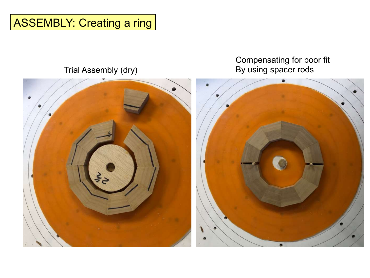# ASSEMBLY: Creating a ring

#### Trial Assembly (dry)

#### Compensating for poor fit By using spacer rods